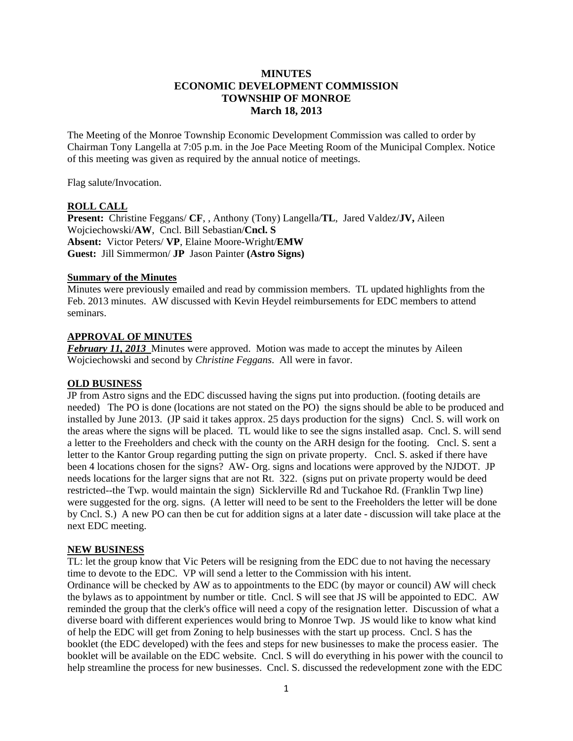# **MINUTES ECONOMIC DEVELOPMENT COMMISSION TOWNSHIP OF MONROE March 18, 2013**

The Meeting of the Monroe Township Economic Development Commission was called to order by Chairman Tony Langella at 7:05 p.m. in the Joe Pace Meeting Room of the Municipal Complex. Notice of this meeting was given as required by the annual notice of meetings.

Flag salute/Invocation.

## **ROLL CALL**

**Present:** Christine Feggans/ **CF**, , Anthony (Tony) Langella/**TL**, Jared Valdez/**JV,** Aileen Wojciechowski/**AW**, Cncl. Bill Sebastian/**Cncl. S Absent:** Victor Peters/ **VP**, Elaine Moore-Wright/**EMW Guest:** Jill Simmermon/ **JP** Jason Painter **(Astro Signs)** 

#### **Summary of the Minutes**

Minutes were previously emailed and read by commission members. TL updated highlights from the Feb. 2013 minutes. AW discussed with Kevin Heydel reimbursements for EDC members to attend seminars.

## **APPROVAL OF MINUTES**

*February 11, 2013* Minutes were approved. Motion was made to accept the minutes by Aileen Wojciechowski and second by *Christine Feggans*. All were in favor.

## **OLD BUSINESS**

JP from Astro signs and the EDC discussed having the signs put into production. (footing details are needed) The PO is done (locations are not stated on the PO) the signs should be able to be produced and installed by June 2013. (JP said it takes approx. 25 days production for the signs) Cncl. S. will work on the areas where the signs will be placed. TL would like to see the signs installed asap. Cncl. S. will send a letter to the Freeholders and check with the county on the ARH design for the footing. Cncl. S. sent a letter to the Kantor Group regarding putting the sign on private property. Cncl. S. asked if there have been 4 locations chosen for the signs? AW- Org. signs and locations were approved by the NJDOT. JP needs locations for the larger signs that are not Rt. 322. (signs put on private property would be deed restricted--the Twp. would maintain the sign) Sicklerville Rd and Tuckahoe Rd. (Franklin Twp line) were suggested for the org. signs. (A letter will need to be sent to the Freeholders the letter will be done by Cncl. S.) A new PO can then be cut for addition signs at a later date - discussion will take place at the next EDC meeting.

## **NEW BUSINESS**

TL: let the group know that Vic Peters will be resigning from the EDC due to not having the necessary time to devote to the EDC. VP will send a letter to the Commission with his intent.

Ordinance will be checked by AW as to appointments to the EDC (by mayor or council) AW will check the bylaws as to appointment by number or title. Cncl. S will see that JS will be appointed to EDC. AW reminded the group that the clerk's office will need a copy of the resignation letter. Discussion of what a diverse board with different experiences would bring to Monroe Twp. JS would like to know what kind of help the EDC will get from Zoning to help businesses with the start up process. Cncl. S has the booklet (the EDC developed) with the fees and steps for new businesses to make the process easier. The booklet will be available on the EDC website. Cncl. S will do everything in his power with the council to help streamline the process for new businesses. Cncl. S. discussed the redevelopment zone with the EDC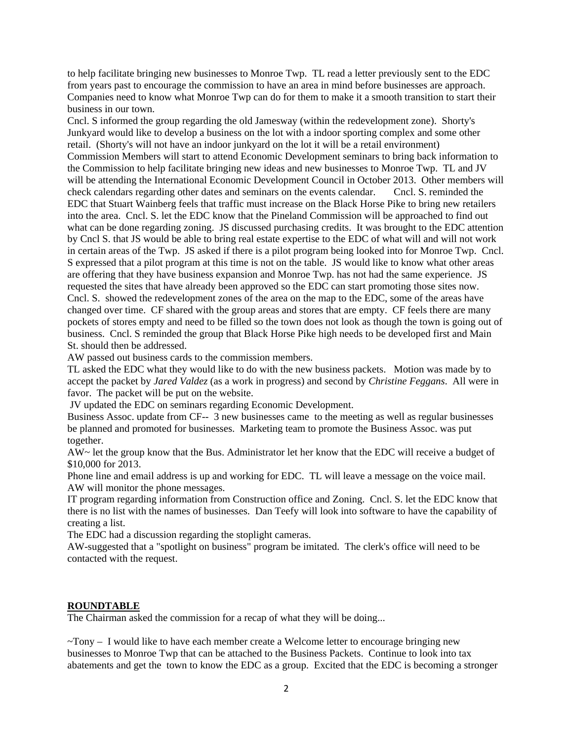to help facilitate bringing new businesses to Monroe Twp. TL read a letter previously sent to the EDC from years past to encourage the commission to have an area in mind before businesses are approach. Companies need to know what Monroe Twp can do for them to make it a smooth transition to start their business in our town.

Cncl. S informed the group regarding the old Jamesway (within the redevelopment zone). Shorty's Junkyard would like to develop a business on the lot with a indoor sporting complex and some other retail. (Shorty's will not have an indoor junkyard on the lot it will be a retail environment) Commission Members will start to attend Economic Development seminars to bring back information to the Commission to help facilitate bringing new ideas and new businesses to Monroe Twp. TL and JV will be attending the International Economic Development Council in October 2013. Other members will check calendars regarding other dates and seminars on the events calendar. Cncl. S. reminded the EDC that Stuart Wainberg feels that traffic must increase on the Black Horse Pike to bring new retailers into the area. Cncl. S. let the EDC know that the Pineland Commission will be approached to find out what can be done regarding zoning. JS discussed purchasing credits. It was brought to the EDC attention by Cncl S. that JS would be able to bring real estate expertise to the EDC of what will and will not work in certain areas of the Twp. JS asked if there is a pilot program being looked into for Monroe Twp. Cncl. S expressed that a pilot program at this time is not on the table. JS would like to know what other areas are offering that they have business expansion and Monroe Twp. has not had the same experience. JS requested the sites that have already been approved so the EDC can start promoting those sites now. Cncl. S. showed the redevelopment zones of the area on the map to the EDC, some of the areas have changed over time. CF shared with the group areas and stores that are empty. CF feels there are many pockets of stores empty and need to be filled so the town does not look as though the town is going out of business. Cncl. S reminded the group that Black Horse Pike high needs to be developed first and Main St. should then be addressed.

AW passed out business cards to the commission members.

TL asked the EDC what they would like to do with the new business packets. Motion was made by to accept the packet by *Jared Valdez* (as a work in progress) and second by *Christine Feggans*. All were in favor. The packet will be put on the website.

JV updated the EDC on seminars regarding Economic Development.

Business Assoc. update from CF-- 3 new businesses came to the meeting as well as regular businesses be planned and promoted for businesses. Marketing team to promote the Business Assoc. was put together.

AW~ let the group know that the Bus. Administrator let her know that the EDC will receive a budget of \$10,000 for 2013.

Phone line and email address is up and working for EDC. TL will leave a message on the voice mail. AW will monitor the phone messages.

IT program regarding information from Construction office and Zoning. Cncl. S. let the EDC know that there is no list with the names of businesses. Dan Teefy will look into software to have the capability of creating a list.

The EDC had a discussion regarding the stoplight cameras.

AW-suggested that a "spotlight on business" program be imitated. The clerk's office will need to be contacted with the request.

#### **ROUNDTABLE**

The Chairman asked the commission for a recap of what they will be doing...

 $\sim$ Tony – I would like to have each member create a Welcome letter to encourage bringing new businesses to Monroe Twp that can be attached to the Business Packets. Continue to look into tax abatements and get the town to know the EDC as a group. Excited that the EDC is becoming a stronger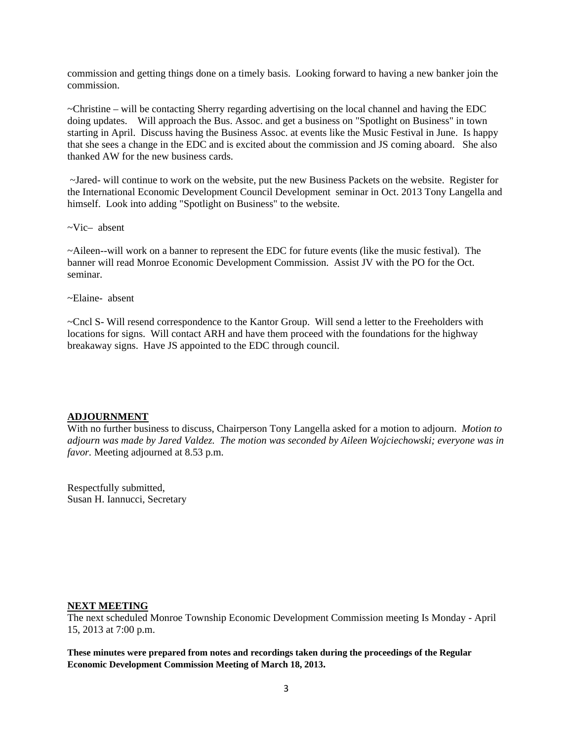commission and getting things done on a timely basis. Looking forward to having a new banker join the commission.

~Christine – will be contacting Sherry regarding advertising on the local channel and having the EDC doing updates. Will approach the Bus. Assoc. and get a business on "Spotlight on Business" in town starting in April. Discuss having the Business Assoc. at events like the Music Festival in June. Is happy that she sees a change in the EDC and is excited about the commission and JS coming aboard. She also thanked AW for the new business cards.

 ~Jared- will continue to work on the website, put the new Business Packets on the website. Register for the International Economic Development Council Development seminar in Oct. 2013 Tony Langella and himself. Look into adding "Spotlight on Business" to the website.

~Vic– absent

~Aileen--will work on a banner to represent the EDC for future events (like the music festival). The banner will read Monroe Economic Development Commission. Assist JV with the PO for the Oct. seminar.

~Elaine- absent

~Cncl S- Will resend correspondence to the Kantor Group. Will send a letter to the Freeholders with locations for signs. Will contact ARH and have them proceed with the foundations for the highway breakaway signs. Have JS appointed to the EDC through council.

#### **ADJOURNMENT**

With no further business to discuss, Chairperson Tony Langella asked for a motion to adjourn. *Motion to adjourn was made by Jared Valdez. The motion was seconded by Aileen Wojciechowski; everyone was in favor.* Meeting adjourned at 8.53 p.m.

Respectfully submitted, Susan H. Iannucci, Secretary

#### **NEXT MEETING**

The next scheduled Monroe Township Economic Development Commission meeting Is Monday - April 15, 2013 at 7:00 p.m.

**These minutes were prepared from notes and recordings taken during the proceedings of the Regular Economic Development Commission Meeting of March 18, 2013.**